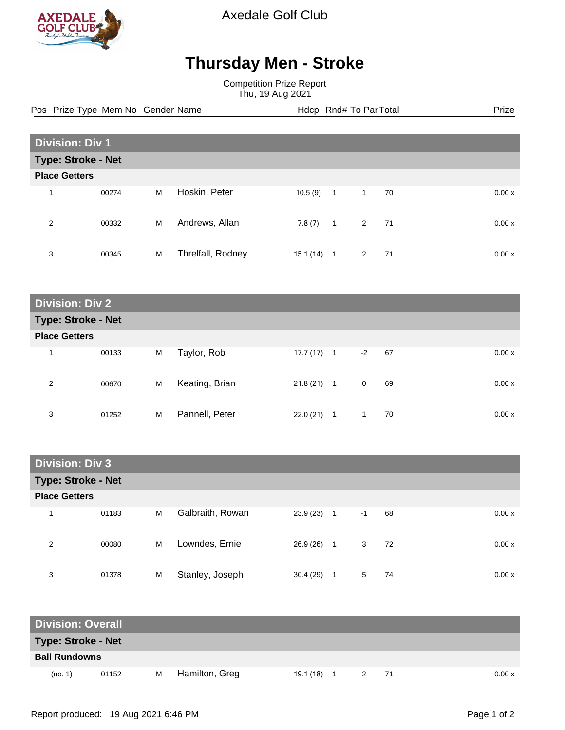

Axedale Golf Club

## **Thursday Men - Stroke**

Competition Prize Report Thu, 19 Aug 2021

Pos Prize Type Mem No Gender Name **Health Hotel Rnd# To ParTotal** Prize

| <b>Division: Div 1</b> |       |   |                   |          |                |                         |    |  |       |
|------------------------|-------|---|-------------------|----------|----------------|-------------------------|----|--|-------|
| Type: Stroke - Net     |       |   |                   |          |                |                         |    |  |       |
| <b>Place Getters</b>   |       |   |                   |          |                |                         |    |  |       |
| 4                      | 00274 | M | Hoskin, Peter     | 10.5(9)  | $\overline{1}$ | $\mathbf{1}$            | 70 |  | 0.00x |
| 2                      | 00332 | М | Andrews, Allan    | 7.8(7)   | $\overline{1}$ | $\overline{\mathbf{2}}$ | 71 |  | 0.00x |
| 3                      | 00345 | M | Threlfall, Rodney | 15.1(14) | 1              | $\mathbf{2}$            | 71 |  | 0.00x |

| <b>Division: Div 2</b>    |       |   |                |              |                |            |        |  |
|---------------------------|-------|---|----------------|--------------|----------------|------------|--------|--|
| <b>Type: Stroke - Net</b> |       |   |                |              |                |            |        |  |
| <b>Place Getters</b>      |       |   |                |              |                |            |        |  |
| 1                         | 00133 | M | Taylor, Rob    | 17.7 (17)    | $\overline{1}$ | $-2$<br>67 | 0.00 x |  |
| 2                         | 00670 | M | Keating, Brian | $21.8(21)$ 1 |                | 0<br>69    | 0.00 x |  |
| 3                         | 01252 | M | Pannell, Peter | 22.0(21)     | 1              | 70<br>1    | 0.00x  |  |

| <b>Division: Div 3</b>  |                           |   |                  |           |                |      |    |        |
|-------------------------|---------------------------|---|------------------|-----------|----------------|------|----|--------|
|                         | <b>Type: Stroke - Net</b> |   |                  |           |                |      |    |        |
| <b>Place Getters</b>    |                           |   |                  |           |                |      |    |        |
| $\overline{\mathbf{A}}$ | 01183                     | M | Galbraith, Rowan | 23.9 (23) | $\overline{1}$ | $-1$ | 68 | 0.00x  |
| 2                       | 00080                     | M | Lowndes, Ernie   | 26.9 (26) | $\overline{1}$ | 3    | 72 | 0.00 x |
| 3                       | 01378                     | M | Stanley, Joseph  | 30.4(29)  | 1              | 5    | 74 | 0.00x  |

| <b>Division: Overall</b> |       |   |                |              |   |      |        |
|--------------------------|-------|---|----------------|--------------|---|------|--------|
| Type: Stroke - Net       |       |   |                |              |   |      |        |
| <b>Ball Rundowns</b>     |       |   |                |              |   |      |        |
| (no. 1)                  | 01152 | м | Hamilton, Greg | $19.1(18)$ 1 | 2 | - 71 | 0.00 x |